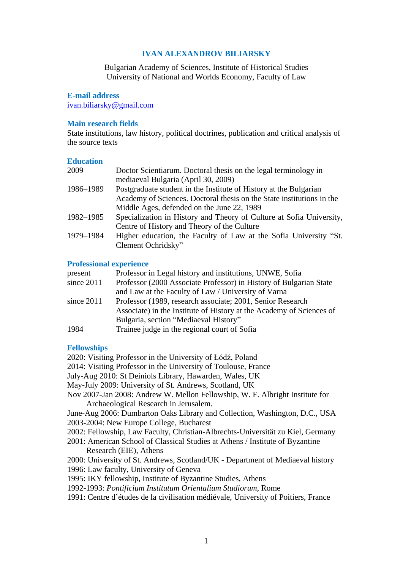# **IVAN ALEXANDROV BILIARSKY**

Bulgarian Academy of Sciences, Institute of Historical Studies University of National and Worlds Economy, Faculty of Law

## **E-mail address**

[ivan.biliarsky@gmail.com](mailto:ivan.biliarsky@gmail.com)

#### **Main research fields**

State institutions, law history, political doctrines, publication and critical analysis of the source texts

## **Education**

| 2009      | Doctor Scientiarum. Doctoral thesis on the legal terminology in       |
|-----------|-----------------------------------------------------------------------|
|           | mediaeval Bulgaria (April 30, 2009)                                   |
| 1986-1989 | Postgraduate student in the Institute of History at the Bulgarian     |
|           | Academy of Sciences. Doctoral thesis on the State institutions in the |
|           | Middle Ages, defended on the June 22, 1989                            |
| 1982-1985 | Specialization in History and Theory of Culture at Sofia University,  |
|           | Centre of History and Theory of the Culture                           |
| 1979-1984 | Higher education, the Faculty of Law at the Sofia University "St.     |
|           | Clement Ochridsky"                                                    |

#### **Professional experience**

| present      | Professor in Legal history and institutions, UNWE, Sofia             |
|--------------|----------------------------------------------------------------------|
| since $2011$ | Professor (2000 Associate Professor) in History of Bulgarian State   |
|              | and Law at the Faculty of Law / University of Varna                  |
| since $2011$ | Professor (1989, research associate; 2001, Senior Research           |
|              | Associate) in the Institute of History at the Academy of Sciences of |
|              | Bulgaria, section "Mediaeval History"                                |
| 1984         | Trainee judge in the regional court of Sofia                         |

## **Fellowships**

2020: Visiting Professor in the University of Łódź, Poland

2014: Visiting Professor in the University of Toulouse, France

- July-Aug 2010: St Deiniols Library, Hawarden, Wales, UK
- May-July 2009: University of St. Andrews, Scotland, UK
- Nov 2007-Jan 2008: Andrew W. Mellon Fellowship, W. F. Albright Institute for Archaeological Research in Jerusalem.

June-Aug 2006: Dumbarton Oaks Library and Collection, Washington, D.C., USA 2003-2004: New Europe College, Bucharest

- 2002: Fellowship, Law Faculty, Christian-Albrechts-Universität zu Kiel, Germany
- 2001: American School of Classical Studies at Athens / Institute of Byzantine Research (EIE), Athens
- 2000: University of St. Andrews, Scotland/UK Department of Mediaeval history
- 1996: Law faculty, University of Geneva
- 1995: IKY fellowship, Institute of Byzantine Studies, Athens
- 1992-1993: *Pontificium Institutum Orientalium Studiorum*, Rome
- 1991: Centre d'études de la civilisation médiévale, University of Poitiers, France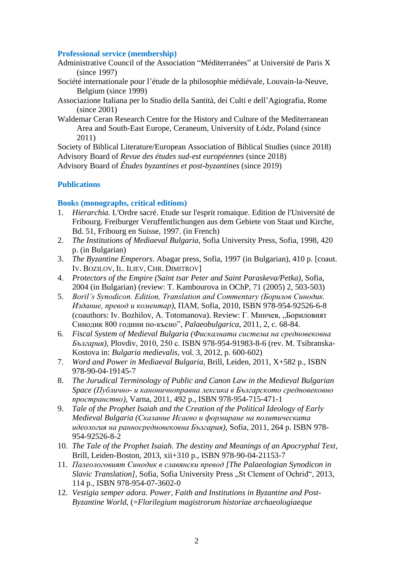## **Professional service (membership)**

- Administrative Council of the Association "Méditerranées" at Université de Paris X (since 1997)
- Société internationale pour l'étude de la philosophie médiévale, Louvain-la-Neuve, Belgium (since 1999)
- Associazione Italiana per lo Studio della Santità, dei Culti e dell'Agiografia, Rome (since 2001)
- Waldemar Ceran Research Centre for the History and Culture of the Mediterranean Area and South-East Europe, Ceraneum, University of Łódz, Poland (since 2011)

Society of Biblical Literature/European Association of Biblical Studies (since 2018) Advisory Board of *Revue des études sud-est européennes* (since 2018) Advisory Board of *Études byzantines et post-byzantines* (since 2019)

# **Publications**

## **Books (monographs, critical editions)**

- 1. *Hierarchia.* L'Ordre sacré. Etude sur l'esprit romaique. Edition de l'Université de Fribourg. Freiburger Verцffentlichungen aus dem Gebiete von Staat und Kirche, Bd. 51, Fribourg en Suisse, 1997. (in French)
- 2. *The Institutions of Mediaeval Bulgaria*, Sofia University Press, Sofia, 1998, 420 p. (in Bulgarian)
- 3. *The Byzantine Emperors*. Abagar press, Sofia, 1997 (in Bulgarian), 410 p. [coaut. IV. BOZILOV, IL. ILIEV, CHR. DIMITROV]
- 4. *Protectors of the Empire (Saint tsar Peter and Saint Paraskeva/Petka)*, Sofia, 2004 (in Bulgarian) (review: T. Kambourova in OChP, 71 (2005) 2, 503-503)
- 5. *Boril's Synodicon. Edition, Translation and Commentary (Борилов Синодик. Издание, превод и коментар),* ПАМ, Sofia, 2010, ISBN 978-954-92526-6-8 (coauthors: Iv. Bozhilov, A. Totomanova). Review: Г. Минчев, "Бориловият Синодик 800 години по-късно", *Palaeobulgarica*, 2011, 2, c. 68-84.
- 6. *Fiscal System of Medieval Bulgaria (Фискалната система на средновековна България),* Plovdiv, 2010, 250 с. ISBN 978-954-91983-8-6 (rev. M. Tsibranska-Kostova in: *Bulgaria medievalis*, vol. 3, 2012, p. 600-602)
- 7. *Word and Power in Mediaeval Bulgaria,* Brill, Leiden, 2011, X+582 p., ISBN 978-90-04-19145-7
- 8. *The Jurudical Terminology of Public and Canon Law in the Medieval Bulgarian Space (Публично- и каноничноправна лексика в Българското средновековно пространство),* Varna, 2011, 492 p., ISBN 978-954-715-471-1
- 9. *Tale of the Prophet Isaiah and the Creation of the Political Ideology of Early Medieval Bulgaria (Сказание Исаево и формиране на политическата идеология на ранносредновековна България)*, Sofia, 2011, 264 p. ISBN 978- 954-92526-8-2
- 10. *The Tale of the Prophet Isaiah. The destiny and Meanings of an Apocryphal Text*, Brill, Leiden-Boston, 2013, xii+310 p., ISBN 978-90-04-21153-7
- 11. *Палеологовият Синодик в славянски превод [The Palaeologian Synodicon in Slavic Translation]*, Sofia, Sofia University Press "St Clement of Ochrid", 2013, 114 p., ISBN 978-954-07-3602-0
- 12. *Vestigia semper adora. Power, Faith and Institutions in Byzantine and Post-Byzantine World*, (=*Florilegium magistrorum historiae archaeologiaeque*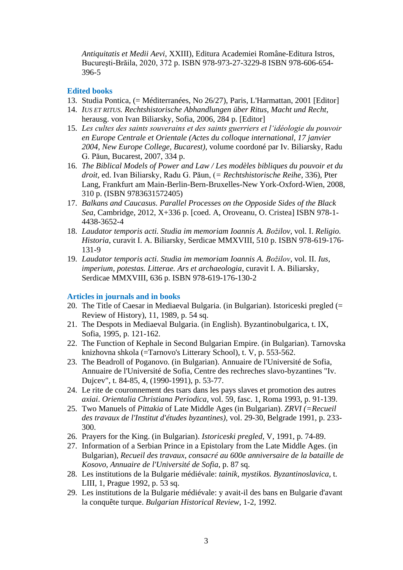*Antiquitatis et Medii Aevi*, XXIII), Editura Academiei Române-Editura Istros, Bucureşti-Brăila, 2020, 372 p. ISBN 978-973-27-3229-8 ISBN 978-606-654- 396-5

# **Edited books**

- 13. Studia Pontica, (= Méditerranées, No 26/27), Paris, L'Harmattan, 2001 [Editor]
- 14. *IUS ET RITUS. Rechtshistorische Abhandlungen über Ritus, Macht und Recht,* herausg. von Ivan Biliarsky, Sofia, 2006, 284 p. [Editor]
- 15. *Les cultes des saints souverains et des saints guerriers et l'idéologie du pouvoir en Europe Centrale et Orientale (Actes du colloque international, 17 janvier 2004, New Europe College, Bucarest),* volume coordoné par Iv. Biliarsky, Radu G. Păun, Bucarest, 2007, 334 p.
- 16. *The Biblical Models of Power and Law / Les modèles bibliques du pouvoir et du droit,* ed. Ivan Biliarsky, Radu G. Păun, (*= Rechtshistorische Reihe*, 336), Pter Lang, Frankfurt am Main-Berlin-Bern-Bruxelles-New York-Oxford-Wien, 2008, 310 p. (ISBN 9783631572405)
- 17. *Balkans and Caucasus. Parallel Processes on the Opposide Sides of the Black Sea*, Cambridge, 2012, X+336 p. [coed. A, Oroveanu, O. Cristea] ISBN 978-1- 4438-3652-4
- 18. *Laudator temporis acti. Studia im memoriam Ioannis A. Božilov*, vol. I. *Religio. Historia*, curavit I. A. Biliarsky, Serdicae MMXVIII, 510 p. ISBN 978-619-176- 131-9
- 19. *Laudator temporis acti. Studia im memoriam Ioannis A. Božilov*, vol. II. *Ius, imperium, potestas. Litterae. Ars et archaeologia*, curavit I. A. Biliarsky, Serdicae MMXVIII, 636 p. ISBN 978-619-176-130-2

## **Articles in journals and in books**

- 20. The Title of Caesar in Mediaeval Bulgaria. (in Bulgarian). Istoriceski pregled (= Review of History), 11, 1989, p. 54 sq.
- 21. The Despots in Mediaeval Bulgaria. (in English). Byzantinobulgarica, t. IX, Sofia, 1995, p. 121-162.
- 22. The Function of Kephale in Second Bulgarian Empire. (in Bulgarian). Tarnovska knizhovna shkola (=Tarnovo's Litterary School), t. V, p. 553-562.
- 23. The Beadroll of Poganovo. (in Bulgarian). Annuaire de l'Université de Sofia, Annuaire de l'Université de Sofia, Centre des rechreches slavo-byzantines "Iv. Dujcev", t. 84-85, 4, (1990-1991), p. 53-77.
- 24. Le rite de couronnement des tsars dans les pays slaves et promotion des autres *axiai*. *Orientalia Christiana Periodica,* vol. 59, fasc. 1, Roma 1993, p. 91-139.
- 25. Two Manuels of *Pittakia* of Late Middle Ages (in Bulgarian). *ZRVI (=Recueil des travaux de l'Institut d'études byzantines),* vol. 29-30, Belgrade 1991, p. 233- 300.
- 26. Prayers for the King. (in Bulgarian). *Istoriceski pregled*, V, 1991, p. 74-89.
- 27. Information of a Serbian Prince in a Epistolary from the Late Middle Ages. (in Bulgarian), *Recueil des travaux, consacré au 600e anniversaire de la bataille de Kosovo, Annuaire de l'Université de Sofia*, p. 87 sq.
- 28. Les institutions de la Bulgarie médiévale: *tainik, mystikos. Byzantinoslavica*, t. LIII, 1, Prague 1992, p. 53 sq.
- 29. Les institutions de la Bulgarie médiévale: y avait-il des bans en Bulgarie d'avant la conquête turque. *Bulgarian Historical Review*, 1-2, 1992.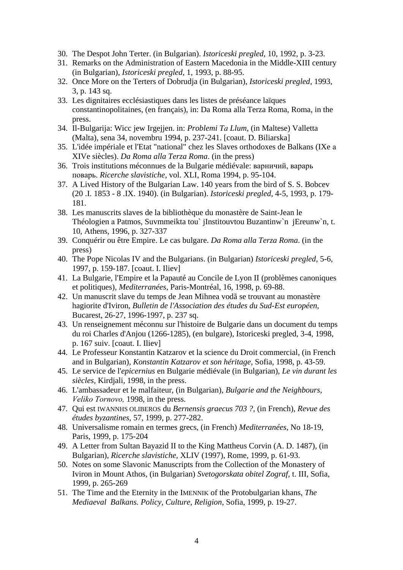- 30. The Despot John Terter. (in Bulgarian). *Istoriceski pregled*, 10, 1992, p. 3-23.
- 31. Remarks on the Administration of Eastern Macedonia in the Middle-XIII century (in Bulgarian), *Istoriceski pregled,* 1, 1993, p. 88-95.
- 32. Once More on the Terters of Dobrudja (in Bulgarian), *Istoriceski pregled*, 1993, 3, p. 143 sq.
- 33. Les dignitaires ecclésiastiques dans les listes de préséance laïques constantinopolitaines, (en français), in: Da Roma alla Terza Roma, Roma, in the press.
- 34. Il-Bulgarija: Wicc jew Irgejjen. in: *Problemi Tа Llum*, (in Maltese) Valletta (Malta), sena 34, novembru 1994, p. 237-241. [coaut. D. Biliarska]
- 35. L'idée impériale et l'Etat "national" chez les Slaves orthodoxes de Balkans (IXe а XIVe siècles). *Da Roma alla Terza Roma*. (in the press)
- 36. Trois institutions méconnues de la Bulgarie médiévale: варничий, варарь поварь. *Ricerche slavistiche*, vol. XLI, Roma 1994, p. 95-104.
- 37. A Lived History of the Bulgarian Law. 140 years from the bird of S. S. Bobcev (20 .I. 1853 - 8 .IX. 1940). (in Bulgarian). *Istoriceski pregled*, 4-5, 1993, p. 179- 181.
- 38. Les manuscrits slaves de la bibliothèque du monastère de Saint-Jean le Théologien а Patmos, Suvmmeikta tou` jInstitouvtou Buzantinw`n jEreunw`n, t. 10, Athens, 1996, p. 327-337
- 39. Conquérir ou être Empire. Le cas bulgare. *Da Roma alla Terza Roma*. (in the press)
- 40. The Pope Nicolas IV and the Bulgarians. (in Bulgarian) *Istoriceski pregled,* 5-6, 1997, p. 159-187. [coaut. I. Iliev]
- 41. La Bulgarie, l'Empire et la Papauté au Concile de Lyon II (problèmes canoniques et politiques), *Mediterranées*, Paris-Montréal, 16, 1998, p. 69-88.
- 42. Un manuscrit slave du temps de Jean Mihnea vodã se trouvant au monastère hagiorite d'Iviron, *Bulletin de l'Association des études du Sud-Est européen,* Bucarest, 26-27, 1996-1997, p. 237 sq.
- 43. Un renseignement méconnu sur l'histoire de Bulgarie dans un document du temps du roi Charles d'Anjou (1266-1285), (en bulgare), Istoriceski pregled, 3-4, 1998, p. 167 suiv. [coaut. I. Iliev]
- 44. Le Professeur Konstantin Katzarov et la science du Droit commercial, (in French and in Bulgarian), *Konstantin Katzarov et son héritage,* Sofia, 1998, p. 43-59.
- 45. Le service de l'*epicernius* en Bulgarie médiévale (in Bulgarian), *Le vin durant les siècles,* Kirdjali, 1998, in the press.
- 46. L'ambassadeur et le malfaiteur, (in Bulgarian), *Bulgarie and the Neighbours, Veliko Tоrnovo,* 1998, in the press.
- 47. Qui est IWANNHS OLIBEROS du *Bernensis graecus 703 ?,* (in French), *Revue des études byzantines,* 57, 1999, p. 277-282.
- 48. Universalisme romain en termes grecs, (in French) *Mediterranées,* No 18-19, Paris, 1999, p. 175-204
- 49. A Letter from Sultan Bayazid II to the King Mattheus Corvin (A. D. 1487), (in Bulgarian), *Ricerche slavistiche,* XLIV (1997), Rome, 1999, p. 61-93.
- 50. Notes on some Slavonic Manuscripts from the Collection of the Monastery of Iviron in Mount Athos, (in Bulgarian) *Svetogorskata obitel Zograf,* t. III, Sofia, 1999, p. 265-269
- 51. The Time and the Eternity in the IMENNIK of the Protobulgarian khans, *The Mediaeval Balkans. Policy, Culture, Religion,* Sofia, 1999, p. 19-27.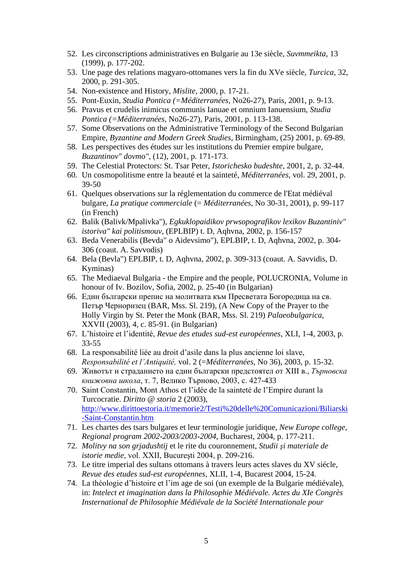- 52. Les circonscriptions administratives en Bulgarie au 13e siècle, *Suvmmeikta*, 13 (1999), p. 177-202.
- 53. Une page des relations magyaro-ottomanes vers la fin du XVe siècle, *Turcica,* 32, 2000, p. 291-305.
- 54. Non-existence and History, *Mislite,* 2000, p. 17-21.
- 55. Pont-Euxin, *Studia Pontica (=Méditerranées,* No26-27), Paris, 2001, p. 9-13.
- 56. Pravus et crudelis inimicus communis Ianuae et omnium Ianuensium, *Studia Pontica (=Méditerranées,* No26-27), Paris, 2001, p. 113-138.
- 57. Some Observations on the Administrative Terminology of the Second Bulgarian Empire, *Byzantine and Modern Greek Studies*, Birmingham, (25) 2001, p. 69-89.
- 58. Les perspectives des études sur les institutions du Premier empire bulgare, *Buzantinov" dovmo"*, (12), 2001, p. 171-173.
- 59. The Celestial Protectors: St. Tsar Peter, *Istorichesko budeshte*, 2001, 2, p. 32-44.
- 60. Un cosmopolitisme entre la beauté et la sainteté, *Méditerranées,* vol. 29, 2001, p. 39-50
- 61. Quelques observations sur la réglementation du commerce de l'Etat médiéval bulgare, *La pratique commerciale* (= *Méditerranées,* No 30-31, 2001), p. 99-117 (in French)
- 62. Balik (Balivk/Mpalivka"), *Egkuklopaidikov prwsopografikov lexikov Buzantiniv" istoriva" kai politismouv*, (EPLBIP) t. D, Aqhvna, 2002, p. 156-157
- 63. Beda Venerabilis (Bevda" o Aidevsimo"), EPLBIP, t. D, Aqhvna, 2002, p. 304- 306 (coaut. A. Savvodis)
- 64. Bela (Bevla") EPLBIP, t. D, Aqhvna, 2002, p. 309-313 (coaut. A. Savvidis, D. Kyminas)
- 65. The Mediaeval Bulgaria the Empire and the people, POLUCRONIA, Volume in honour of Iv. Bozilov, Sofia, 2002, p. 25-40 (in Bulgarian)
- 66. Един български препис на молитвата към Пресветата Богородица на св. Петър Черноризец (BAR, Mss. Sl. 219), (A New Copy of the Prayer to the Holly Virgin by St. Peter the Monk (BAR, Mss. Sl. 219) *Palaeobulgarica*, XXVII (2003), 4, c. 85-91. (in Bulgarian)
- 67. L'histoire et l'identité, *Revue des etudes sud-est européennes*, XLI, 1-4, 2003, p. 33-55
- 68. La responsabilité liée au droit d'asile dans la plus ancienne loi slave, *Responsabilité et l'Antiquité,* vol. 2 (=*Méditerranées,* No 36), 2003, p. 15-32.
- 69. Животът и страданието на един български предстоятел от XIII в., *Търновска книжовна школа*, т. 7, Велико Търново, 2003, с. 427-433
- 70. Saint Constantin, Mont Athos et l'idée de la sainteté de l'Empire durant la Turcocratie. *Diritto @ storia* 2 (2003), [http://www.dirittoestoria.it/memorie2/Testi%20delle%20Comunicazioni/Biliarski](http://www.dirittoestoria.it/memorie2/Testi%20delle%20Comunicazioni/Biliarski-Saint-Constantin.htm) [-Saint-Constantin.htm](http://www.dirittoestoria.it/memorie2/Testi%20delle%20Comunicazioni/Biliarski-Saint-Constantin.htm)
- 71. Les chartes des tsars bulgares et leur terminologie juridique, *New Europe college, Regional program 2002-2003/2003-2004,* Bucharest, 2004, p. 177-211.
- 72. *Molitvy na son grjadushtij* et le rite du couronnement, *Studii şi materiale de istorie medie*, vol. XXII, Bucureşti 2004, p. 209-216.
- 73. Le titre imperial des sultans ottomans à travers leurs actes slaves du XV siécle, *Revue des etudes sud-est européennes*, XLII, 1-4, Bucarest 2004, 15-24.
- 74. La théologie d'histoire et l'im age de soi (un exemple de la Bulgarie médiévale), in: *Intelect et imagination dans la Philosophie Médiévale. Actes du XIe Congrès Insternational de Philosophie Médiévale de la Société Internationale pour*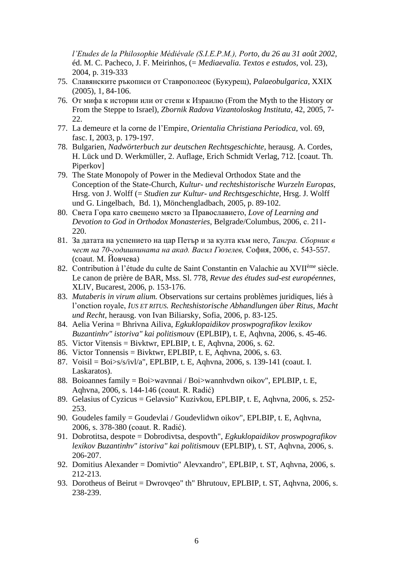*l'Etudes de la Philosophie Médiévale (S.I.E.P.M.), Porto, du 26 au 31 août 2002*, éd. M. C. Pacheco, J. F. Meirinhos, (= *Mediaevalia. Textos e estudos*, vol. 23), 2004, p. 319-333

- 75. Славянските ръкописи от Ставрополеос (Букурещ), *Palaeobulgarica*, XXIX (2005), 1, 84-106.
- 76. От мифа к истории или от степи к Израилю (From the Myth to the History or From the Steppe to Israel), *Zbornik Radova Vizantoloskog Instituta,* 42, 2005, 7- 22.
- 77. La demeure et la corne de l'Empire, *Orientalia Christiana Periodica,* vol. 69, fasc. I, 2003, p. 179-197.
- 78. Bulgarien, *Nadwörterbuch zur deutschen Rechtsgeschichte,* herausg. A. Cordes, H. Lück und D. Werkmüller, 2. Auflage, Erich Schmidt Verlag, 712. [coaut. Th. Piperkov]
- 79. The State Monopoly of Power in the Medieval Orthodox State and the Conception of the State-Church, *Kultur- und rechtshistorische Wurzeln Europas,* Hrsg. von J. Wolff (= *Studien zur Kultur- und Rechtsgeschichte,* Hrsg. J. Wolff und G. Lingelbach, Bd. 1), Mönchengladbach, 2005, p. 89-102.
- 80. Света Гора като свещено място за Православието, *Love of Learning and Devotion to God in Orthodox Monasteries,* Belgrade/Columbus, 2006, с. 211- 220.
- 81. За датата на успението на цар Петър и за култа към него, *Тангра. Сборник в чест на 70-годишнината на акад. Васил Гюзелев,* София, 2006, с. 543-557. (coaut. М. Йовчева)
- 82. Contribution à l'étude du culte de Saint Constantin en Valachie au XVIIème siècle. Le canon de prière de BAR, Mss. Sl. 778, *Revue des études sud-est européennes*, XLIV, Bucarest, 2006, p. 153-176.
- 83. *Mutaberis in virum alium.* Observations sur certains problèmes juridiques, liés à l'onction royale, *IUS ET RITUS. Rechtshistorische Abhandlungen über Ritus, Macht und Recht,* herausg. von Ivan Biliarsky, Sofia, 2006, p. 83-125.
- 84. Aelia Verina = Bhrivna Ailiva, *Egkuklopaidikov proswpografikov lexikov Buzantinhv" istoriva" kai politismou*v (EPLBIP), t. E, Aqhvna, 2006, s. 45-46.
- 85. Victor Vitensis = Bivktwr, EPLBIP, t. E, Aqhvna, 2006, s. 62.
- 86. Victor Tonnensis = Bivktwr, EPLBIP, t. E, Aqhvna, 2006, s. 63.
- 87. Voisil = Boi>s/s/ivl/a", EPLBIP, t. E, Aqhvna, 2006, s. 139-141 (coaut. I. Laskaratos).
- 88. Boioannes family = Boi>wavnnai / Boi>wannhvdwn oikov", EPLBIP, t. E, Aqhvna, 2006, s. 144-146 (coaut. R. Radić)
- 89. Gelasius of Cyzicus = Gelavsio" Kuzivkou, EPLBIP, t. E, Aqhvna, 2006, s. 252- 253.
- 90. Goudeles family = Goudevlai / Goudevlidwn oikov", EPLBIP, t. E, Aqhvna, 2006, s. 378-380 (coaut. R. Radić).
- 91. Dobrotitsa, despote = Dobrodivtsa, despovth", *Egkuklopaidikov proswpografikov lexikov Buzantinhv" istoriva" kai politismou*v (EPLBIP), t. ST, Aqhvna, 2006, s. 206-207.
- 92. Domitius Alexander = Domivtio" Alevxandro", EPLBIP, t. ST, Aqhvna, 2006, s. 212-213.
- 93. Dorotheus of Beirut = Dwrovqeo" th" Bhrutouv, EPLBIP, t. ST, Aqhvna, 2006, s. 238-239.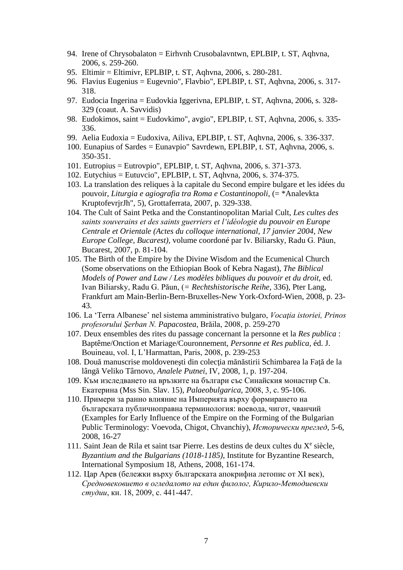- 94. Irene of Chrysobalaton = Eirhvnh Crusobalavntwn, EPLBIP, t. ST, Aqhvna, 2006, s. 259-260.
- 95. Eltimir = Eltimivr, EPLBIP, t. ST, Aqhvna, 2006, s. 280-281.
- 96. Flavius Eugenius = Eugevnio", Flavbio", EPLBIP, t. ST, Aqhvna, 2006, s. 317- 318.
- 97. Eudocia Ingerina = Eudovkia Iggerivna, EPLBIP, t. ST, Aqhvna, 2006, s. 328- 329 (coaut. A. Savvidis)
- 98. Eudokimos, saint = Eudovkimo", avgio", EPLBIP, t. ST, Aqhvna, 2006, s. 335- 336.
- 99. Aelia Eudoxia = Eudoxiva, Ailiva, EPLBIP, t. ST, Aqhvna, 2006, s. 336-337.
- 100. Eunapius of Sardes = Eunavpio" Savrdewn, EPLBIP, t. ST, Aqhvna, 2006, s. 350-351.
- 101. Eutropius = Eutrovpio", EPLBIP, t. ST, Aqhvna, 2006, s. 371-373.
- 102. Eutychius = Eutuvcio", EPLBIP, t. ST, Aqhvna, 2006, s. 374-375.
- 103. La translation des reliques à la capitale du Second empire bulgare et les idées du pouvoir, *Liturgia e agiografia tra Roma e Costantinopoli,* (= \*Analevkta KruptofevrjrJh", 5), Grottaferrata, 2007, p. 329-338.
- 104. The Cult of Saint Petka and the Constantinopolitan Marial Cult, *Les cultes des saints souverains et des saints guerriers et l'idéologie du pouvoir en Europe Centrale et Orientale (Actes du colloque international, 17 janvier 2004, New Europe College, Bucarest),* volume coordoné par Iv. Biliarsky, Radu G. Păun, Bucarest, 2007, p. 81-104.
- 105. The Birth of the Empire by the Divine Wisdom and the Ecumenical Church (Some observations on the Ethiopian Book of Kebra Nagast), *The Biblical Models of Power and Law / Les modèles bibliques du pouvoir et du droit,* ed. Ivan Biliarsky, Radu G. Păun, (*= Rechtshistorische Reihe*, 336), Pter Lang, Frankfurt am Main-Berlin-Bern-Bruxelles-New York-Oxford-Wien, 2008, p. 23- 43.
- 106. La 'Terra Albanese' nel sistema amministrativo bulgaro, *Vocaţia istoriei, Prinos profesorului Şerban N. Papacostea,* Brăila, 2008, p. 259-270
- 107. Deux ensembles des rites du passage concernant la personne et la *Res publica* : Baptême/Onction et Mariage/Couronnement, *Personne et Res publica,* éd. J. Bouineau, vol. I, L'Harmattan, Paris, 2008, p. 239-253
- 108. Două manuscrise moldoveneşti din colecţia mănăstirii Schimbarea la Faţă de la lângă Veliko Târnovo, *Analele Putnei,* IV, 2008, 1, p. 197-204.
- 109. Към изследването на връзките на българи със Синайския монастир Св. Екатерина (Mss Sin. Slav. 15), *Palaeobulgarica*, 2008, 3, с. 95-106.
- 110. Примери за ранно влияние на Империята върху формирането на българската публичноправна терминология: воевода, чигот, чванчий (Examples for Early Influence of the Empire on the Forming of the Bulgarian Public Terminology: Voevoda, Chigot, Chvanchiy), *Исторически преглед*, 5-6, 2008, 16-27
- 111. Saint Jean de Rila et saint tsar Pierre. Les destins de deux cultes du  $X^e$  siècle, *Byzantium and the Bulgarians (1018-1185)*, Institute for Byzantine Research, International Symposium 18, Athens, 2008, 161-174.
- 112. Цар Арев (бележки върху българската апокрифна летопис от XI век), *Средновековието в огледалото на един филолог, Кирило-Методиевски студии*, кн. 18, 2009, с. 441-447.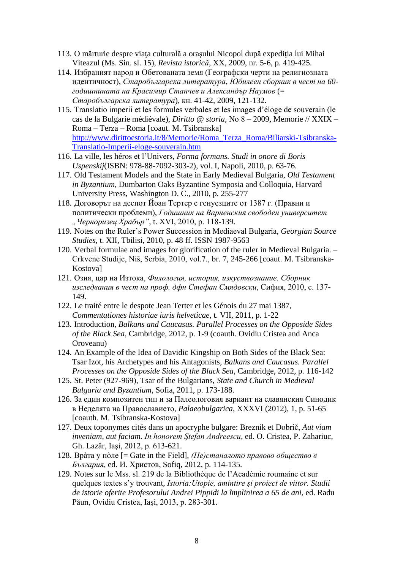- 113. O mărturie despre viaţa culturală a oraşului Nicopol după expediţia lui Mihai Viteazul (Ms. Sin. sl. 15), *Revista istorică*, XX, 2009, nr. 5-6, p. 419-425.
- 114. Избраният народ и Обетованата земя (Географски черти на религиозната идентичност), *Старобългарска литература*, *Юбилеен сборник в чест на 60 годишнината на Красимир Станчев и Александър Наумов* (= *Старобългарска литература*), кн. 41-42, 2009, 121-132.
- 115. Translatio imperii et les formules verbales et les images d'éloge de souverain (le cas de la Bulgarie médiévale), *Diritto @ storia,* Nо 8 – 2009, Memorie // XXIX – Roma – Terza – Roma [coaut. M. Tsibranska] [http://www.dirittoestoria.it/8/Memorie/Roma\\_Terza\\_Roma/Biliarski-Tsibranska-](http://www.dirittoestoria.it/8/Memorie/Roma_Terza_Roma/Biliarski-Tsibranska-Translatio-Imperii-eloge-souverain.htm)[Translatio-Imperii-eloge-souverain.htm](http://www.dirittoestoria.it/8/Memorie/Roma_Terza_Roma/Biliarski-Tsibranska-Translatio-Imperii-eloge-souverain.htm)
- 116. La ville, les héros et l'Univers, *Forma formans. Studi in onore di Boris Uspenskij*(ISBN: 978-88-7092-303-2), vol. I, Napoli, 2010, p. 63-76.
- 117. Old Testament Models and the State in Early Medieval Bulgaria, *Old Testament in Byzantium,* Dumbarton Oaks Byzantine Symposia and Colloquia, Harvard University Press, Washington D. C., 2010, p. 255-277
- 118. Договорът на деспот Йоан Тертер с генуезците от 1387 г. (Правни и политически проблеми), *Годишник на Варненския свободен университет "Черноризец Храбър"*, t. XVI, 2010, р. 118-139.
- 119. Notes on the Ruler's Power Succession in Mediaeval Bulgaria, *Georgian Source Studies*, t. XII, Tbilisi, 2010, p. 48 ff. ISSN 1987-9563
- 120. Verbal formulae and images for glorification of the ruler in Medieval Bulgaria. Crkvene Studije, Niš, Serbia, 2010, vol.7., br. 7, 245-266 [coaut. M. Tsibranska-Kostova]
- 121. Озия, цар на Изтока, *Филология, история, изкуствознание. Сборник изследвания в чест на проф. дфн Стефан Смядовски*, Сифия, 2010, с. 137- 149.
- 122. Le traité entre le despote Jean Terter et les Génois du 27 mai 1387, *Commentationes historiae iuris helveticae*, t. VII, 2011, p. 1-22
- 123. Introduction, *Balkans and Caucasus. Parallel Processes on the Opposide Sides of the Black Sea*, Cambridge, 2012, p. 1-9 (coauth. Ovidiu Cristea and Anca Oroveanu)
- 124. An Example of the Idea of Davidic Kingship on Both Sides of the Black Sea: Tsar Izot, his Archetypes and his Antagonists, *Balkans and Caucasus. Parallel Processes on the Opposide Sides of the Black Sea*, Cambridge, 2012, p. 116-142
- 125. St. Peter (927-969), Tsar of the Bulgarians, *State and Church in Medieval Bulgaria and Byzantium*, Sofia, 2011, p. 173-188.
- 126. За един композитен тип и за Палеологовия вариант на славянския Синодик в Неделята на Православието, *Palaeobulgarica*, XXXVI (2012), 1, p. 51-65 [coauth. M. Tsibranska-Kostova]
- 127. Deux toponymes cités dans un apocryphe bulgare: Breznik et Dobrič, *Aut viam inveniam, aut faciam. In honorem Ştefan Andreescu*, ed. O. Cristea, P. Zahariuc, Gh. Lazăr, Iaşi, 2012, p. 613-621.
- 128. Врàта у пòле [= Gate in the Field], *(Не)станалото правово общество в България*, ed. И. Христов, Sofiq, 2012, p. 114-135.
- 129. Notes sur le Mss. sl. 219 de la Bibliothèque de l'Académie roumaine et sur quelques textes s'y trouvant, *Istoria:Utopie, amintire şi proiect de viitor. Studii de istorie oferite Profesorului Andrei Pippidi la împlinirea a 65 de ani*, ed. Radu Păun, Ovidiu Cristea, Iaşi, 2013, p. 283-301.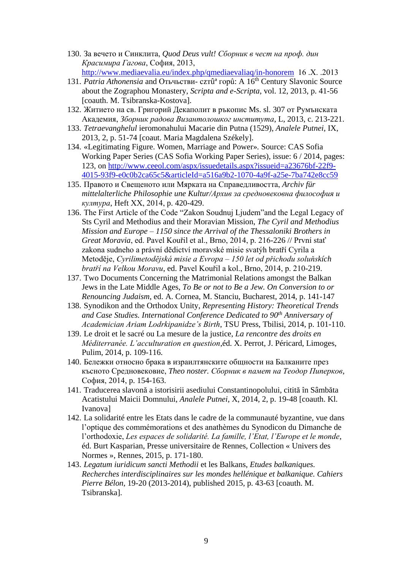- 130. За вечето и Синклита, *Quod Deus vult! Сборник в чест на проф. дин Красимира Гагова*, София, 2013, <http://www.mediaevalia.eu/index.php/qmediaevaliaq/in-honorem>16 .Х. .2013
- 131. *Patria Athonensia* and Отьчьстви сzтûª горû: A 16th Century Slavonic Source about the Zographou Monastery, *Scripta and e-Scripta*, vol. 12, 2013, p. 41-56 [coauth. M. Tsibranska-Kostova].
- 132. Житието на св. Григорий Декаполит в ръкопис Ms. sl. 307 от Румънската Академия, *Зборник радова Византолошког института*, L, 2013, c. 213-221.
- 133. *Tetraevanghelul* ieromonahului Macarie din Putna (1529), *Analele Putnei*, IX, 2013, 2, p. 51-74 [coaut. Maria Magdalena Székely].
- 134. «Legitimating Figure. Women, Marriage and Power»*.* Source: CAS Sofia Working Paper Series (CAS Sofia Working Paper Series), issue: 6 / 2014, pages: 123, on [http://www.ceeol.com/aspx/issuedetails.aspx?issueid=a23676bf-22f9-](http://www.ceeol.com/aspx/issuedetails.aspx?issueid=a23676bf-22f9-4015-93f9-e0c0b2ca65c5&articleId=a516a9b2-1070-4a9f-a25e-7ba742e8cc59) [4015-93f9-e0c0b2ca65c5&articleId=a516a9b2-1070-4a9f-a25e-7ba742e8cc59](http://www.ceeol.com/aspx/issuedetails.aspx?issueid=a23676bf-22f9-4015-93f9-e0c0b2ca65c5&articleId=a516a9b2-1070-4a9f-a25e-7ba742e8cc59)
- 135. Правото и Свещеното или Мярката на Справедливостта, *Archiv für mittelalterliche Philosophie une Kultur/Архив за средновековна философия и култура*, Heft ХХ, 2014, p. 420-429.
- 136. The First Article of the Code "Zakon Soudnuj Ljudem"and the Legal Legacy of Sts Cyril and Methodius and their Moravian Mission, *The Cyril and Methodius Mission and Europe – 1150 since the Arrival of the Thessaloniki Brothers in Great Moravia*, ed. Pavel Kouřil et al., Brno, 2014, p. 216-226 // První stať zakona sudneho a právní dĕdictví moravské misie svatýh bratří Cyrila a Metodĕje, *Cyrilimetodĕjská misie a Evropa – 150 let od přichodu soluňskích bratří na Velkou Moravu*, ed. Pavel Kouřil a kol., Brno, 2014, p. 210-219.
- 137. Two Documents Concerning the Matrimonial Relations amongst the Balkan Jews in the Late Middle Ages, *To Be or not to Be a Jew. On Conversion to or Renouncing Judaism*, ed. A. Cornea, M. Stanciu, Bucharest, 2014, p. 141-147
- 138. Synodikon and the Orthodox Unity, *Representing History: Theoretical Trends and Case Studies. International Conference Dedicated to 90th Anniversary of Academician Ariam Lodrkipanidze's Birth*, TSU Press, Tbilisi, 2014, p. 101-110.
- 139. Le droit et le sacré ou La mesure de la justice, *La rencontre des droits en Méditerranée. L'acculturation en question*,éd. X. Perrot, J. Péricard, Limoges, Pulim, 2014, p. 109-116.
- 140. Бележки относно брака в израилтянските общности на Балканите през късното Средновековие, *Theo noster. Сборник в памет на Теодор Пиперков*, София, 2014, p. 154-163.
- 141. Traducerea slavonă a istorisirii asediului Constantinopolului, citită în Sâmbăta Acatistului Maicii Domnului, *Analele Putnei*, X, 2014, 2, p. 19-48 [coauth. Kl. Ivanova]
- 142. La solidarité entre les Etats dans le cadre de la communauté byzantine, vue dans l'optique des commémorations et des anathèmes du Synodicon du Dimanche de l'orthodoxie, *Les espaces de solidarité. La famille, l'Etat, l'Europe et le monde*, éd. Burt Kasparian, Presse universitaire de Rennes, Collection « Univers des Normes », Rennes, 2015, p. 171-180.
- 143. *Legatum iuridicum sancti Methodii* et les Balkans, *Etudes balkaniques. Recherches interdisciplinaires sur les mondes hellénique et balkanique. Cahiers Pierre Bélon*, 19-20 (2013-2014), published 2015, p. 43-63 [coauth. M. Tsibranska].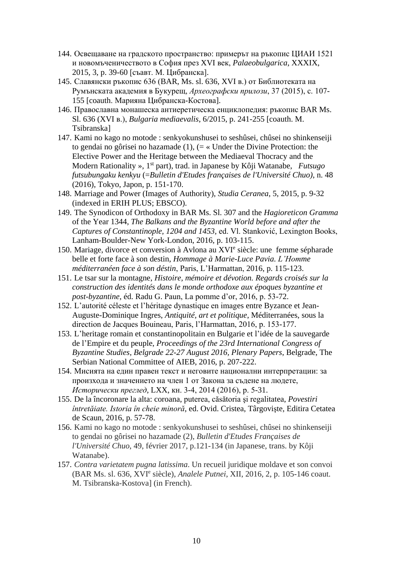- 144. Освещаване на градското пространство: примерът на ръкопис ЦИАИ 1521 и новомъченичеството в София през XVI век, *Palaeobulgarica*, XXXIX, 2015, 3, p. 39-60 [съавт. М. Цибранска].
- 145. Славянски ръкопис 636 (BAR, Ms. sl. 636, XVI в.) от Библиотеката на Румънската академия в Букурещ, *Археографски прилози*, 37 (2015), с. 107- 155 [coauth. Марияна Цибранска-Костова].
- 146. Православна монашеска антиеретическа енциклопедия: ръкопис BAR Ms. Sl. 636 (XVI в.), *Bulgaria mediaevalis*, 6/2015, p. 241-255 [coauth. M. Tsibranska]
- 147. Kami no kago no motode : senkyokunshusei to seshûsei, chûsei no shinkenseiji to gendai no gôrisei no hazamade  $(1)$ ,  $(=\infty)$  Under the Divine Protection: the Elective Power and the Heritage between the Mediaeval Thocracy and the Modern Rationality », 1st part), trad. in Japanese by Kôji Watanabe, *Futsugo futsubungaku kenkyu* (=*Bulletin d'Etudes françaises de l'Université Chuo)*, n. 48 (2016), Tokyo, Japon, p. 151-170.
- 148. Marriage and Power (Images of Authority), *Studia Ceranea*, 5, 2015, p. 9-32 (indexed in ERIH PLUS; EBSCO).
- 149. The Synodicon of Orthodoxy in BAR Ms. Sl. 307 and the *Hagioreticon Gramma* of the Year 1344, *The Balkans and the Byzantine World before and after the Captures of Constantinople, 1204 and 1453,* ed. Vl. Stanković, Lexington Books, Lanham-Boulder-New York-London, 2016, p. 103-115.
- 150. Mariage, divorce et conversion à Avlona au XVI<sup>e</sup> siècle: une femme sépharade belle et forte face à son destin, *Hommage à Marie-Luce Pavia. L'Homme méditerranéen face à son déstin*, Paris, L'Harmattan, 2016, p. 115-123.
- 151. Le tsar sur la montagne, *Histoire, mémoire et dévotion. Regards croisés sur la construction des identités dans le monde orthodoxe aux époques byzantine et post-byzantine*, éd. Radu G. Paun, La pomme d'or, 2016, p. 53-72.
- 152. L'autorité céleste et l'héritage dynastique en images entre Byzance et Jean-Auguste-Dominique Ingres, *Antiquité, art et politique*, Méditerranées, sous la direction de Jacques Bouineau, Paris, l'Harmattan, 2016, p. 153-177.
- 153. L'heritage romain et constantinopolitain en Bulgarie et l'idée de la sauvegarde de l'Empire et du peuple, *Proceedings of the 23rd International Congress of Byzantine Studies, Belgrade 22-27 August 2016, Plenary Papers*, Belgrade, The Serbian National Committee of AIEB, 2016, p. 207-222.
- 154. Мисията на един правен текст и неговите национални интерпретации: за произхода и значението на член 1 от Закона за съдене на людете, *Исторически преглед*, LXX, кн. 3-4, 2014 (2016), р. 5-31.
- 155. De la încoronare la alta: coroana, puterea, căsătoria şi regalitatea, *Povestiri întretăiate. Istoria în cheie minoră*, ed. Ovid. Cristea, Târgovişte, Editira Cetatea de Scaun, 2016, p. 57-78.
- 156. Kami no kago no motode : senkyokunshusei to seshûsei, chûsei no shinkenseiji to gendai no gôrisei no hazamade (2), *Bulletin d'Etudes Françaises de l'Université Chuo*, 49, février 2017, p.121-134 (in Japanese, trans. by Kôji Watanabe).
- 157. *Contra varietatem pugna latissima*. Un recueil juridique moldave et son convoi (BAR Ms. sl. 636, XVI<sup>e</sup> siècle), *Analele Putnei*, XII, 2016, 2, p. 105-146 coaut. M. Tsibranska-Kostova] (in French).